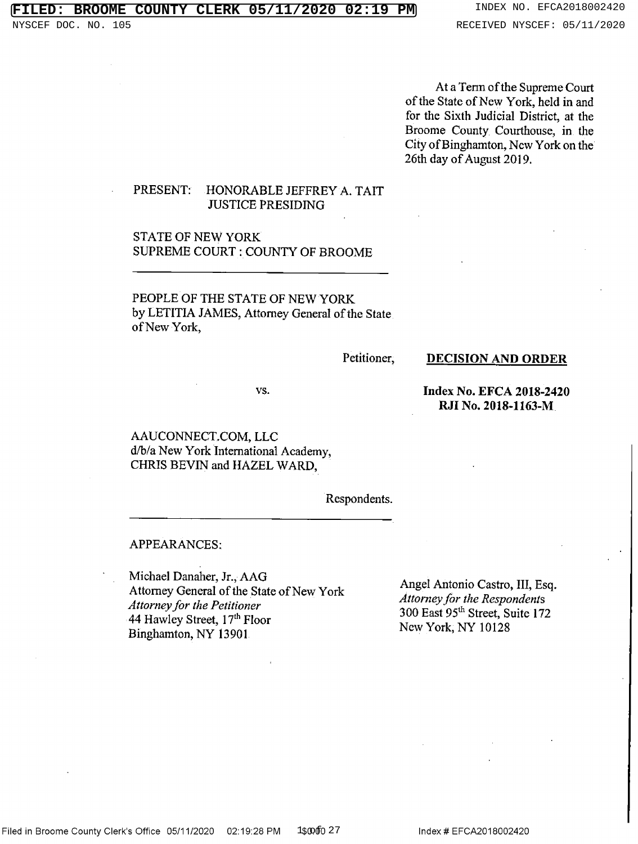#### **BROOME COUNTY CLERK** 05/11/2020 02:19  $\mathbf{PM}$

NYSCEF DOC. NO. 105

At a Term of the Supreme Court of the State of New York, held in and for the Sixth Judicial District, at the Broome County Courthouse, in the City of Binghamton, New York on the 26th day of August 2019.

#### PRESENT: HONORABLE JEFFREY A. TAIT **JUSTICE PRESIDING**

# **STATE OF NEW YORK** SUPREME COURT: COUNTY OF BROOME

# PEOPLE OF THE STATE OF NEW YORK by LETITIA JAMES, Attorney General of the State of New York,

Petitioner,

#### **DECISION AND ORDER**

VS.

**Index No. EFCA 2018-2420** RJI No. 2018-1163-M

AAUCONNECT.COM, LLC d/b/a New York International Academy, CHRIS BEVIN and HAZEL WARD,

Respondents.

# **APPEARANCES:**

Michael Danaher, Jr., AAG Attorney General of the State of New York Attorney for the Petitioner 44 Hawley Street, 17th Floor Binghamton, NY 13901

Angel Antonio Castro, III, Esq. Attorney for the Respondents 300 East 95<sup>th</sup> Street, Suite 172 New York, NY 10128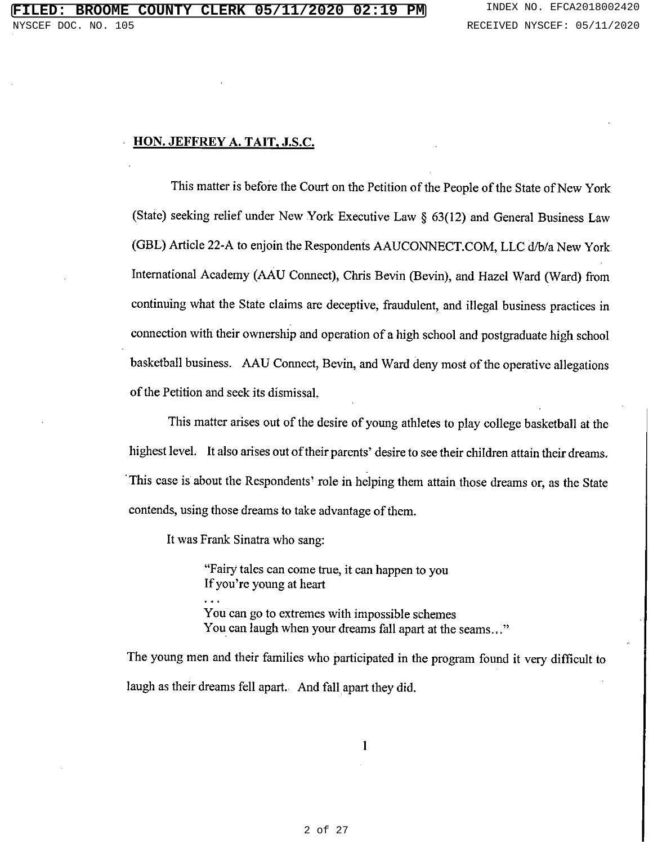#### **HON. JEFFREY A. TAIT, J.S.C.**

This matter is before the Court on the Petition of the People of the State of New York (State) seeking relief under New York Executive Law § 63(12) and General Business Law (GBL) Article 22-A to enjoin the Respondents AAUCONNECT.COM, LLC d/b/a New York International Academy (AAU Connect), Chris Bevin (Bevin), and Hazel Ward (Ward) from continuing what the State claims are deceptive, fraudulent, and illegal business practices in connection with their ownership and operation of a high school and postgraduate high school basketball business. AAU Connect, Bevin, and Ward deny most of the operative allegations of the Petition and seek its dismissal.

This matter arises out of the desire of young athletes to play college basketball at the highest level. It also arises out of their parents' desire to see their children attain their dreams. This case is about the Respondents' role in helping them attain those dreams or, as the State contends, using those dreams to take advantage of them.

It was Frank Sinatra who sang:

"Fairy tales can come true, it can happen to you If you're young at heart

You can go to extremes with impossible schemes You can laugh when your dreams fall apart at the seams..."

The young men and their families who participated in the program found it very difficult to laugh as their dreams fell apart. And fall apart they did.

 $\mathbf{1}$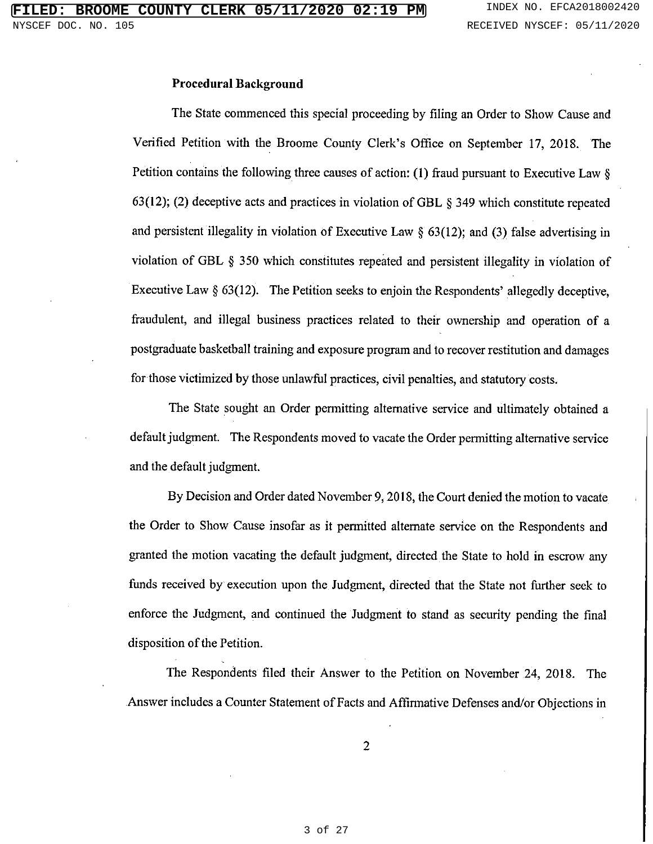#### **Procedural Background**

The State commenced this special proceeding by filing an Order to Show Cause and Verified Petition with the Broome County Clerk's Office on September 17, 2018. The Petition contains the following three causes of action: (1) fraud pursuant to Executive Law §  $63(12)$ ; (2) deceptive acts and practices in violation of GBL § 349 which constitute repeated and persistent illegality in violation of Executive Law  $\S$  63(12); and (3) false advertising in violation of GBL § 350 which constitutes repeated and persistent illegality in violation of Executive Law  $\S$  63(12). The Petition seeks to enjoin the Respondents' allegedly deceptive, fraudulent, and illegal business practices related to their ownership and operation of a postgraduate basketball training and exposure program and to recover restitution and damages for those victimized by those unlawful practices, civil penalties, and statutory costs.

The State sought an Order permitting alternative service and ultimately obtained a default judgment. The Respondents moved to vacate the Order permitting alternative service and the default judgment.

By Decision and Order dated November 9, 2018, the Court denied the motion to vacate the Order to Show Cause insofar as it permitted alternate service on the Respondents and granted the motion vacating the default judgment, directed the State to hold in escrow any funds received by execution upon the Judgment, directed that the State not further seek to enforce the Judgment, and continued the Judgment to stand as security pending the final disposition of the Petition.

The Respondents filed their Answer to the Petition on November 24, 2018. The Answer includes a Counter Statement of Facts and Affirmative Defenses and/or Objections in

 $\overline{2}$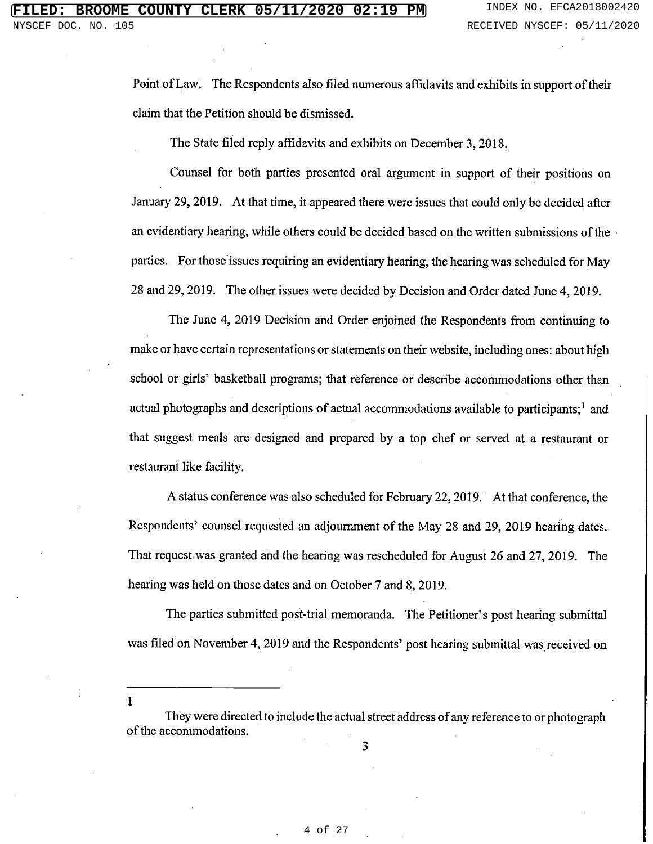Point of Law. The Respondents also filed numerous affidavits and exhibits in support of their claim that the Petition should be dismissed.

The State filed reply affidavits and exhibits on December 3, 2018.

Counsel for both parties presented oral argument in support of their positions on January 29, 2019. At that time, it appeared there were issues that could only be decided after an evidentiary hearing, while others could be decided based on the written submissions of the parties. For those issues requiring an evidentiary hearing, the hearing was scheduled for May 28 and 29, 2019. The other issues were decided by Decision and Order dated June 4, 2019.

The June 4, 2019 Decision and Order enjoined the Respondents from continuing to make or have certain representations or statements on their website, including ones: about high school or girls' basketball programs; that reference or describe accommodations other than actual photographs and descriptions of actual accommodations available to participants;<sup>1</sup> and that suggest meals are designed and prepared by a top chef or served at a restaurant or restaurant like facility.

A status conference was also scheduled for February 22, 2019. At that conference, the Respondents' counsel requested an adjournment of the May 28 and 29, 2019 hearing dates. That request was granted and the hearing was rescheduled for August 26 and 27, 2019. The hearing was held on those dates and on October 7 and 8, 2019.

The parties submitted post-trial memoranda. The Petitioner's post hearing submittal was filed on November 4, 2019 and the Respondents' post hearing submittal was received on

 $\mathbf{1}$ 

They were directed to include the actual street address of any reference to or photograph of the accommodations.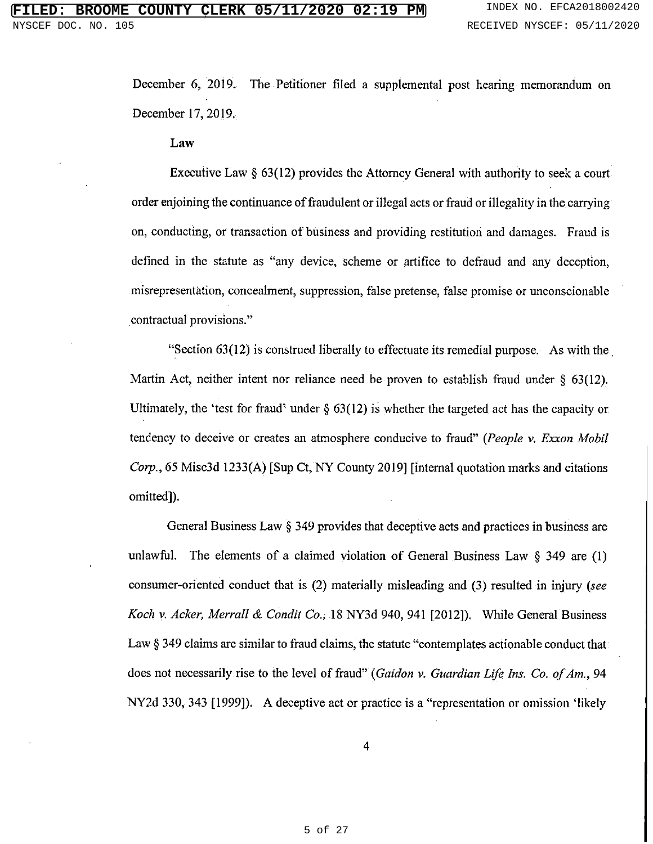December 6, 2019. The Petitioner filed a supplemental post hearing memorandum on December 17, 2019.

#### Law

Executive Law  $\S$  63(12) provides the Attorney General with authority to seek a court order enjoining the continuance of fraudulent or illegal acts or fraud or illegality in the carrying on, conducting, or transaction of business and providing restitution and damages. Fraud is defined in the statute as "any device, scheme or artifice to defraud and any deception, misrepresentation, concealment, suppression, false pretense, false promise or unconscionable contractual provisions."

"Section 63(12) is construed liberally to effectuate its remedial purpose. As with the Martin Act, neither intent nor reliance need be proven to establish fraud under § 63(12). Ultimately, the 'test for fraud' under  $\S$  63(12) is whether the targeted act has the capacity or tendency to deceive or creates an atmosphere conducive to fraud" (People v. Exxon Mobil Corp., 65 Misc3d 1233(A) [Sup Ct, NY County 2019] [internal quotation marks and citations omitted]).

General Business Law  $\S$  349 provides that deceptive acts and practices in business are unlawful. The elements of a claimed violation of General Business Law  $\S$  349 are (1) consumer-oriented conduct that is (2) materially misleading and (3) resulted in injury (see Koch v. Acker, Merrall & Condit Co., 18 NY3d 940, 941 [2012]). While General Business Law § 349 claims are similar to fraud claims, the statute "contemplates actionable conduct that does not necessarily rise to the level of fraud" (Gaidon v. Guardian Life Ins. Co. of Am., 94 NY2d 330, 343 [1999]). A deceptive act or practice is a "representation or omission 'likely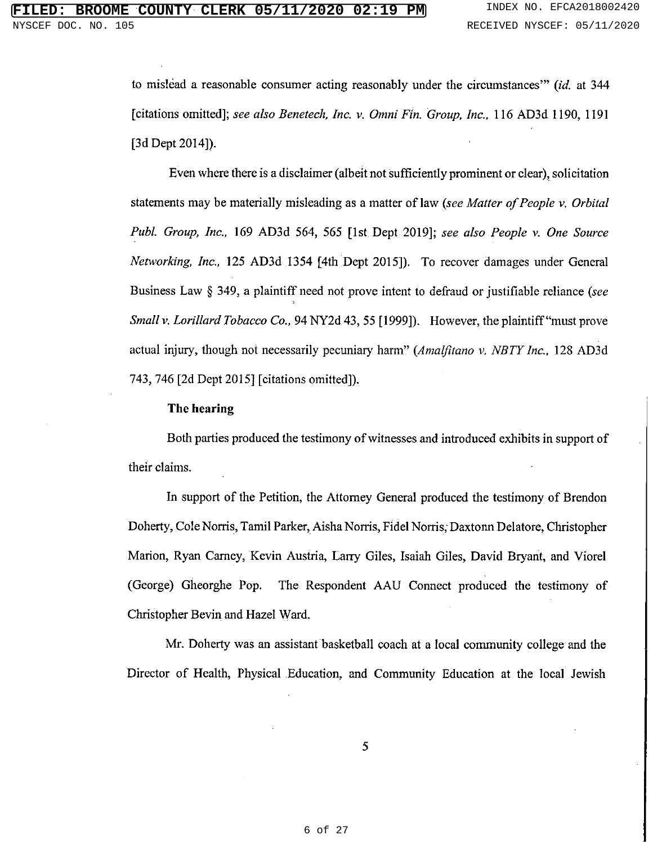to mislead a reasonable consumer acting reasonably under the circumstances" *(id.* at 344 [citations omitted]; see also Benetech, Inc. v. Omni Fin. Group, Inc., 116 AD3d 1190, 1191  $[3d$  Dept 2014]).

Even where there is a disclaimer (albeit not sufficiently prominent or clear), solicitation statements may be materially misleading as a matter of law (see Matter of People v. Orbital Publ. Group, Inc., 169 AD3d 564, 565 [1st Dept 2019]; see also People v. One Source Networking, Inc., 125 AD3d 1354 [4th Dept 2015]). To recover damages under General Business Law § 349, a plaintiff need not prove intent to defraud or justifiable reliance (see Small v. Lorillard Tobacco Co., 94 NY2d 43, 55 [1999]). However, the plaintiff "must prove actual injury, though not necessarily pecuniary harm" (Amalfitano v. NBTY Inc., 128 AD3d 743, 746 [2d Dept 2015] [citations omitted]).

### The hearing

Both parties produced the testimony of witnesses and introduced exhibits in support of their claims.

In support of the Petition, the Attorney General produced the testimony of Brendon Doherty, Cole Norris, Tamil Parker, Aisha Norris, Fidel Norris, Daxtonn Delatore, Christopher Marion, Ryan Carney, Kevin Austria, Larry Giles, Isaiah Giles, David Bryant, and Viorel The Respondent AAU Connect produced the testimony of (George) Gheorghe Pop. Christopher Bevin and Hazel Ward.

Mr. Doherty was an assistant basketball coach at a local community college and the Director of Health, Physical Education, and Community Education at the local Jewish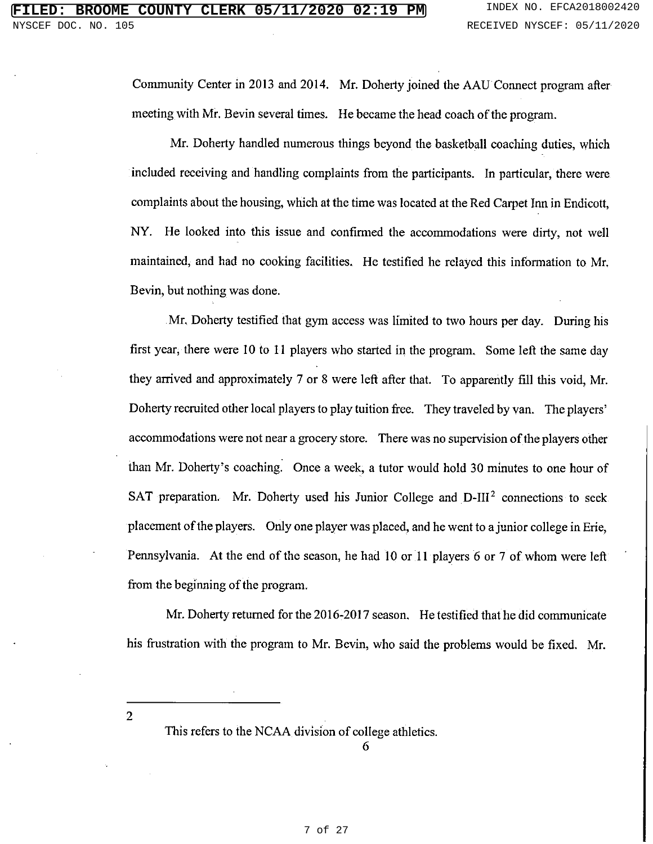Community Center in 2013 and 2014. Mr. Doherty joined the AAU Connect program after meeting with Mr. Bevin several times. He became the head coach of the program.

Mr. Doherty handled numerous things beyond the basketball coaching duties, which included receiving and handling complaints from the participants. In particular, there were complaints about the housing, which at the time was located at the Red Carpet Inn in Endicott, NY. He looked into this issue and confirmed the accommodations were dirty, not well maintained, and had no cooking facilities. He testified he relayed this information to Mr. Bevin, but nothing was done.

Mr. Doherty testified that gym access was limited to two hours per day. During his first year, there were 10 to 11 players who started in the program. Some left the same day they arrived and approximately 7 or 8 were left after that. To apparently fill this void, Mr. Doherty recruited other local players to play tuition free. They traveled by van. The players' accommodations were not near a grocery store. There was no supervision of the players other than Mr. Doherty's coaching. Once a week, a tutor would hold 30 minutes to one hour of SAT preparation. Mr. Doherty used his Junior College and D-III<sup>2</sup> connections to seek placement of the players. Only one player was placed, and he went to a junior college in Erie, Pennsylvania. At the end of the season, he had 10 or 11 players 6 or 7 of whom were left from the beginning of the program.

Mr. Doherty returned for the 2016-2017 season. He testified that he did communicate his frustration with the program to Mr. Bevin, who said the problems would be fixed. Mr.

This refers to the NCAA division of college athletics.

 $\overline{2}$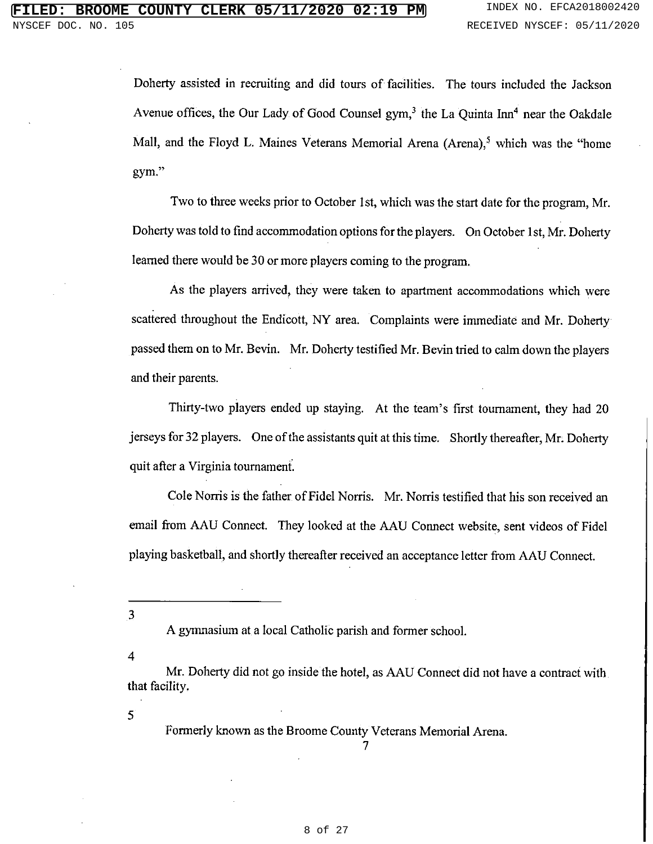Doherty assisted in recruiting and did tours of facilities. The tours included the Jackson Avenue offices, the Our Lady of Good Counsel gym,<sup>3</sup> the La Ouinta Inn<sup>4</sup> near the Oakdale Mall, and the Floyd L. Maines Veterans Memorial Arena (Arena),<sup>5</sup> which was the "home  $gym."$ 

Two to three weeks prior to October 1st, which was the start date for the program, Mr. Doherty was told to find accommodation options for the players. On October 1st, Mr. Doherty learned there would be 30 or more players coming to the program.

As the players arrived, they were taken to apartment accommodations which were scattered throughout the Endicott, NY area. Complaints were immediate and Mr. Doherty passed them on to Mr. Bevin. Mr. Doherty testified Mr. Bevin tried to calm down the players and their parents.

Thirty-two players ended up staying. At the team's first tournament, they had 20 jerseys for 32 players. One of the assistants quit at this time. Shortly thereafter, Mr. Doherty quit after a Virginia tournament.

Cole Norris is the father of Fidel Norris. Mr. Norris testified that his son received an email from AAU Connect. They looked at the AAU Connect website, sent videos of Fidel playing basketball, and shortly thereafter received an acceptance letter from AAU Connect.

3

A gymnasium at a local Catholic parish and former school.

 $\overline{4}$ 

Mr. Doherty did not go inside the hotel, as AAU Connect did not have a contract with that facility.

 $5<sup>°</sup>$ 

Formerly known as the Broome County Veterans Memorial Arena.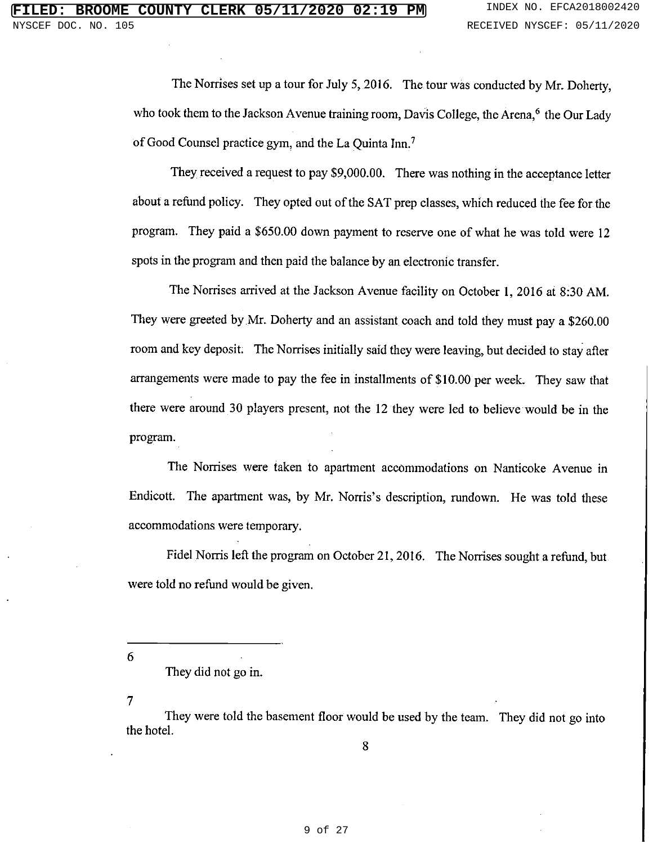The Norrises set up a tour for July 5, 2016. The tour was conducted by Mr. Doherty. who took them to the Jackson Avenue training room, Davis College, the Arena,<sup>6</sup> the Our Lady of Good Counsel practice gym, and the La Quinta Inn.<sup>7</sup>

They received a request to pay \$9,000.00. There was nothing in the acceptance letter about a refund policy. They opted out of the SAT prep classes, which reduced the fee for the program. They paid a \$650.00 down payment to reserve one of what he was told were 12 spots in the program and then paid the balance by an electronic transfer.

The Norrises arrived at the Jackson Avenue facility on October 1, 2016 at 8:30 AM. They were greeted by Mr. Doherty and an assistant coach and told they must pay a \$260.00 room and key deposit. The Norrises initially said they were leaving, but decided to stay after arrangements were made to pay the fee in installments of \$10.00 per week. They saw that there were around 30 players present, not the 12 they were led to believe would be in the program.

The Norrises were taken to apartment accommodations on Nanticoke Avenue in Endicott. The apartment was, by Mr. Norris's description, rundown. He was told these accommodations were temporary.

Fidel Norris left the program on October 21, 2016. The Norrises sought a refund, but were told no refund would be given.

6

7

They were told the basement floor would be used by the team. They did not go into the hotel.

They did not go in.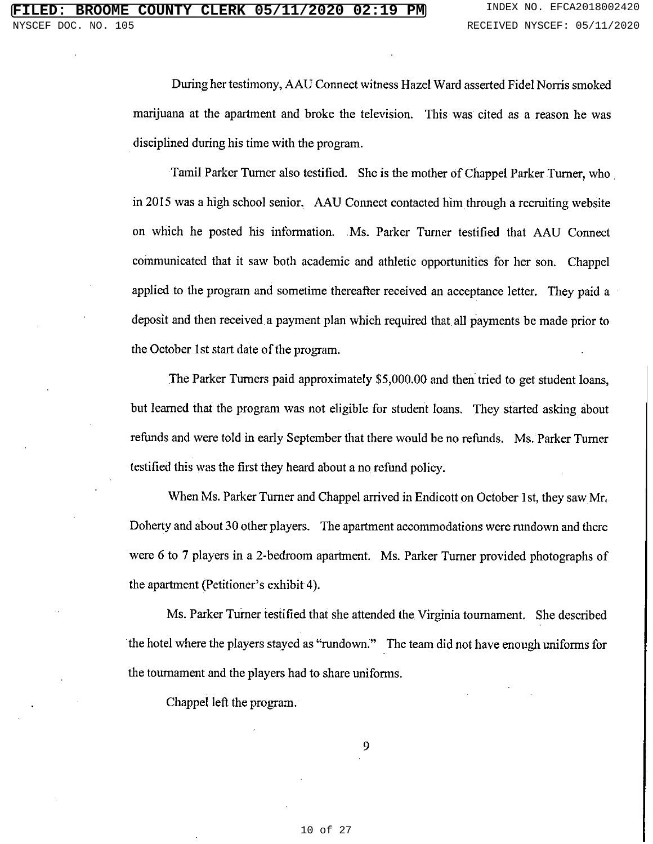During her testimony, AAU Connect witness Hazel Ward asserted Fidel Norris smoked marijuana at the apartment and broke the television. This was cited as a reason he was disciplined during his time with the program.

Tamil Parker Turner also testified. She is the mother of Chappel Parker Turner, who in 2015 was a high school senior. AAU Connect contacted him through a recruiting website on which he posted his information. Ms. Parker Turner testified that AAU Connect communicated that it saw both academic and athletic opportunities for her son. Chappel applied to the program and sometime thereafter received an acceptance letter. They paid a deposit and then received a payment plan which required that all payments be made prior to the October 1st start date of the program.

The Parker Turners paid approximately \$5,000.00 and then tried to get student loans, but learned that the program was not eligible for student loans. They started asking about refunds and were told in early September that there would be no refunds. Ms. Parker Turner testified this was the first they heard about a no refund policy.

When Ms. Parker Turner and Chappel arrived in Endicott on October 1st, they saw Mr. Doherty and about 30 other players. The apartment accommodations were rundown and there were 6 to 7 players in a 2-bedroom apartment. Ms. Parker Turner provided photographs of the apartment (Petitioner's exhibit 4).

Ms. Parker Turner testified that she attended the Virginia tournament. She described the hotel where the players stayed as "rundown." The team did not have enough uniforms for the tournament and the players had to share uniforms.

Chappel left the program.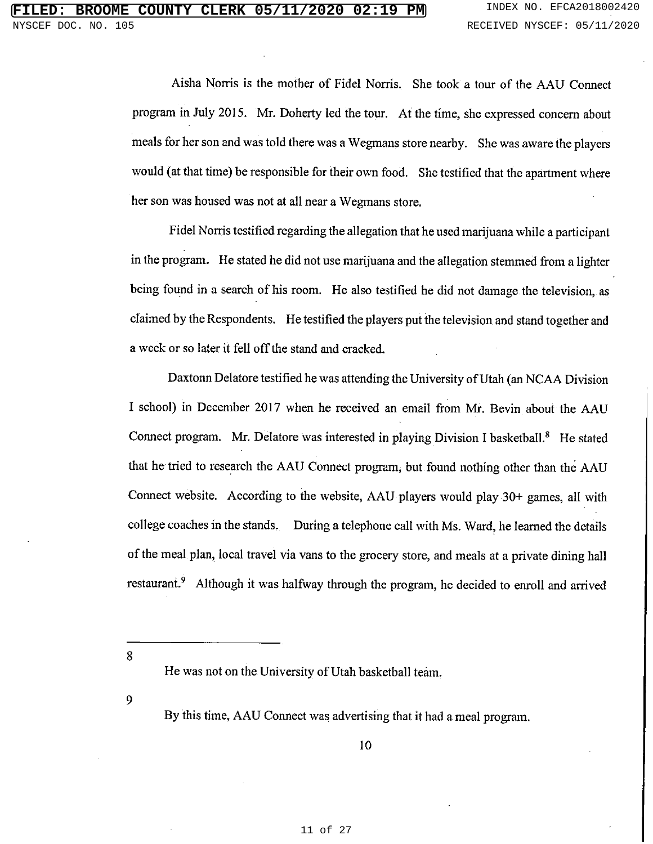Aisha Norris is the mother of Fidel Norris. She took a tour of the AAU Connect program in July 2015. Mr. Doherty led the tour. At the time, she expressed concern about meals for her son and was told there was a Wegmans store nearby. She was aware the players would (at that time) be responsible for their own food. She testified that the apartment where her son was housed was not at all near a Wegmans store.

Fidel Norris testified regarding the allegation that he used marijuana while a participant in the program. He stated he did not use marijuana and the allegation stemmed from a lighter being found in a search of his room. He also testified he did not damage the television, as claimed by the Respondents. He testified the players put the television and stand together and a week or so later it fell off the stand and cracked.

Daxtonn Delatore testified he was attending the University of Utah (an NCAA Division I school) in December 2017 when he received an email from Mr. Bevin about the AAU Connect program. Mr. Delatore was interested in playing Division I basketball.<sup>8</sup> He stated that he tried to research the AAU Connect program, but found nothing other than the AAU Connect website. According to the website, AAU players would play 30+ games, all with college coaches in the stands. During a telephone call with Ms. Ward, he learned the details of the meal plan, local travel via vans to the grocery store, and meals at a private dining hall restaurant.<sup>9</sup> Although it was halfway through the program, he decided to enroll and arrived

8

9

By this time, AAU Connect was advertising that it had a meal program.

He was not on the University of Utah basketball team.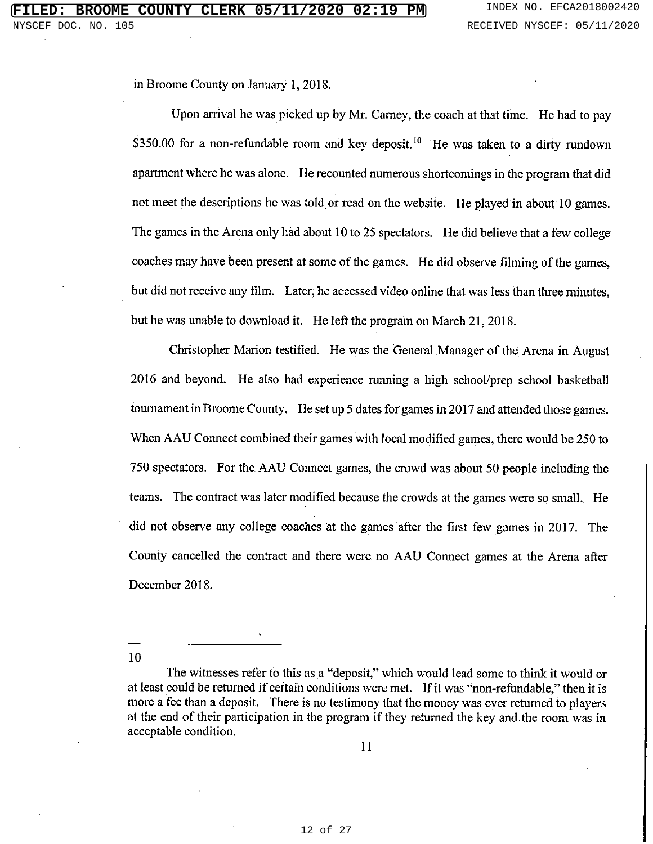in Broome County on January 1, 2018.

Upon arrival he was picked up by Mr. Carney, the coach at that time. He had to pay \$350.00 for a non-refundable room and key deposit.<sup>10</sup> He was taken to a dirty rundown apartment where he was alone. He recounted numerous shortcomings in the program that did not meet the descriptions he was told or read on the website. He played in about 10 games. The games in the Arena only had about 10 to 25 spectators. He did believe that a few college coaches may have been present at some of the games. He did observe filming of the games, but did not receive any film. Later, he accessed video online that was less than three minutes, but he was unable to download it. He left the program on March 21, 2018.

Christopher Marion testified. He was the General Manager of the Arena in August 2016 and beyond. He also had experience running a high school/prep school basketball tournament in Broome County. He set up 5 dates for games in 2017 and attended those games. When AAU Connect combined their games with local modified games, there would be 250 to 750 spectators. For the AAU Connect games, the crowd was about 50 people including the teams. The contract was later modified because the crowds at the games were so small. He did not observe any college coaches at the games after the first few games in 2017. The County cancelled the contract and there were no AAU Connect games at the Arena after December 2018.

The witnesses refer to this as a "deposit," which would lead some to think it would or at least could be returned if certain conditions were met. If it was "non-refundable," then it is more a fee than a deposit. There is no testimony that the money was ever returned to players at the end of their participation in the program if they returned the key and the room was in acceptable condition.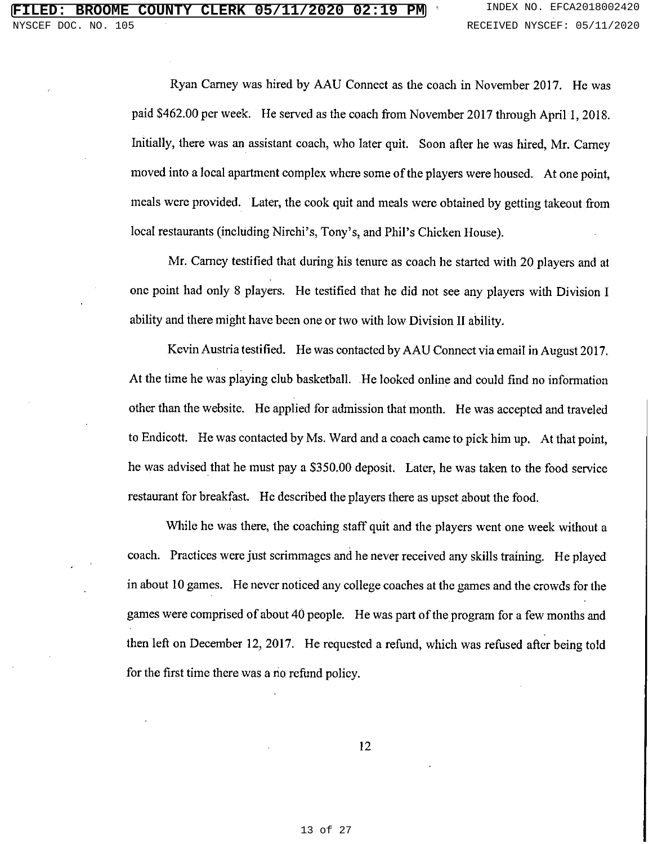Ryan Carney was hired by AAU Connect as the coach in November 2017. He was paid \$462.00 per week. He served as the coach from November 2017 through April 1, 2018. Initially, there was an assistant coach, who later quit. Soon after he was hired, Mr. Carney moved into a local apartment complex where some of the players were housed. At one point, meals were provided. Later, the cook quit and meals were obtained by getting takeout from local restaurants (including Nirchi's, Tony's, and Phil's Chicken House).

Mr. Carney testified that during his tenure as coach he started with 20 players and at one point had only 8 players. He testified that he did not see any players with Division I ability and there might have been one or two with low Division II ability.

Kevin Austria testified. He was contacted by AAU Connect via email in August 2017. At the time he was playing club basketball. He looked online and could find no information other than the website. He applied for admission that month. He was accepted and traveled to Endicott. He was contacted by Ms. Ward and a coach came to pick him up. At that point, he was advised that he must pay a \$350.00 deposit. Later, he was taken to the food service restaurant for breakfast. He described the players there as upset about the food.

While he was there, the coaching staff quit and the players went one week without a coach. Practices were just scrimmages and he never received any skills training. He played in about 10 games. He never noticed any college coaches at the games and the crowds for the games were comprised of about 40 people. He was part of the program for a few months and then left on December 12, 2017. He requested a refund, which was refused after being told for the first time there was a no refund policy.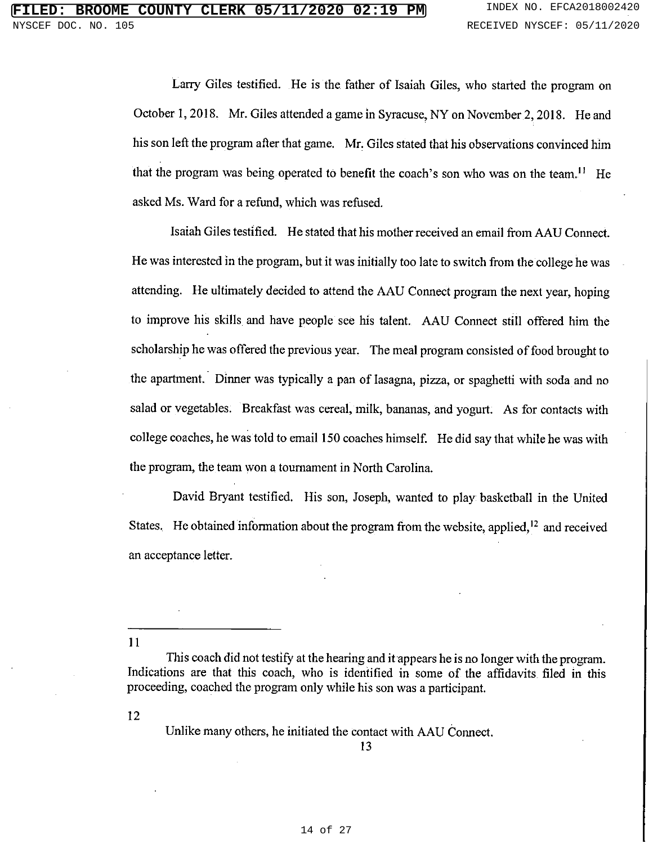Larry Giles testified. He is the father of Isaiah Giles, who started the program on October 1, 2018. Mr. Giles attended a game in Syracuse, NY on November 2, 2018. He and his son left the program after that game. Mr. Giles stated that his observations convinced him that the program was being operated to benefit the coach's son who was on the team.<sup>11</sup> He asked Ms. Ward for a refund, which was refused.

Isaiah Giles testified. He stated that his mother received an email from AAU Connect. He was interested in the program, but it was initially too late to switch from the college he was attending. He ultimately decided to attend the AAU Connect program the next year, hoping to improve his skills and have people see his talent. AAU Connect still offered him the scholarship he was offered the previous year. The meal program consisted of food brought to the apartment. Dinner was typically a pan of lasagna, pizza, or spaghetti with soda and no salad or vegetables. Breakfast was cereal, milk, bananas, and yogurt. As for contacts with college coaches, he was told to email 150 coaches himself. He did say that while he was with the program, the team won a tournament in North Carolina.

David Bryant testified. His son, Joseph, wanted to play basketball in the United States. He obtained information about the program from the website, applied,<sup>12</sup> and received an acceptance letter.

 $11$ 

12

Unlike many others, he initiated the contact with AAU Connect.

This coach did not testify at the hearing and it appears he is no longer with the program. Indications are that this coach, who is identified in some of the affidavits filed in this proceeding, coached the program only while his son was a participant.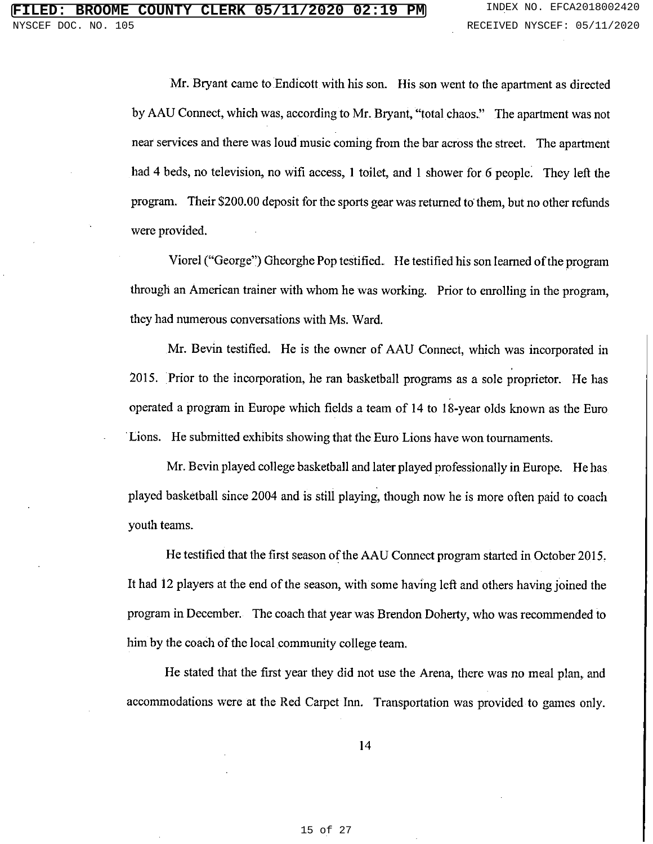Mr. Bryant came to Endicott with his son. His son went to the apartment as directed by AAU Connect, which was, according to Mr. Bryant, "total chaos." The apartment was not near services and there was loud music coming from the bar across the street. The apartment had 4 beds, no television, no wifi access, 1 toilet, and 1 shower for 6 people. They left the program. Their \$200.00 deposit for the sports gear was returned to them, but no other refunds were provided.

Viorel ("George") Gheorghe Pop testified. He testified his son learned of the program through an American trainer with whom he was working. Prior to enrolling in the program, they had numerous conversations with Ms. Ward.

Mr. Bevin testified. He is the owner of AAU Connect, which was incorporated in 2015. Prior to the incorporation, he ran basketball programs as a sole proprietor. He has operated a program in Europe which fields a team of 14 to 18-year olds known as the Euro Lions. He submitted exhibits showing that the Euro Lions have won tournaments.

Mr. Bevin played college basketball and later played professionally in Europe. He has played basketball since 2004 and is still playing, though now he is more often paid to coach youth teams.

He testified that the first season of the AAU Connect program started in October 2015. It had 12 players at the end of the season, with some having left and others having joined the program in December. The coach that year was Brendon Doherty, who was recommended to him by the coach of the local community college team.

He stated that the first year they did not use the Arena, there was no meal plan, and accommodations were at the Red Carpet Inn. Transportation was provided to games only.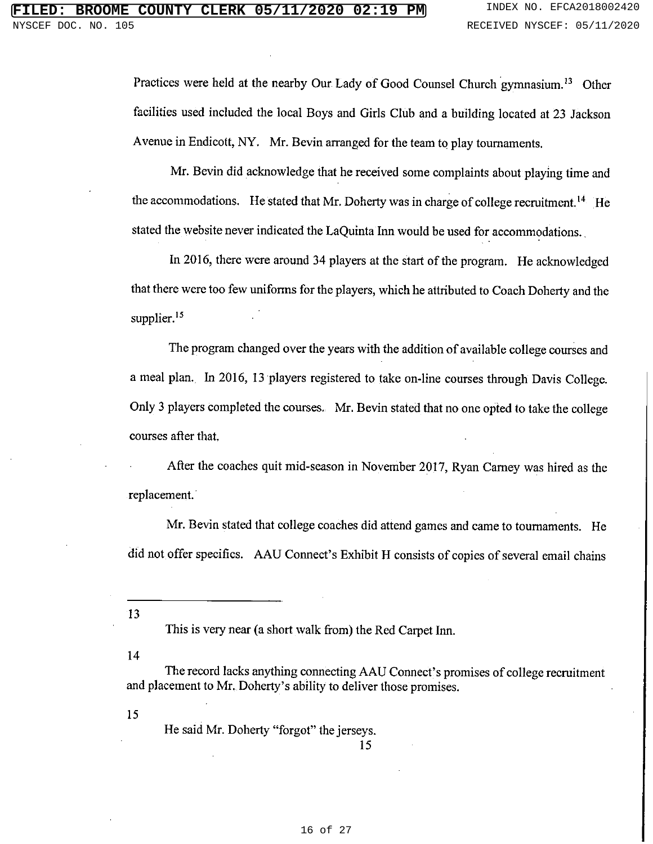Practices were held at the nearby Our Lady of Good Counsel Church gymnasium.<sup>13</sup> Other facilities used included the local Boys and Girls Club and a building located at 23 Jackson Avenue in Endicott, NY. Mr. Bevin arranged for the team to play tournaments.

Mr. Bevin did acknowledge that he received some complaints about playing time and the accommodations. He stated that Mr. Doherty was in charge of college recruitment.<sup>14</sup> He stated the website never indicated the LaQuinta Inn would be used for accommodations.

In 2016, there were around 34 players at the start of the program. He acknowledged that there were too few uniforms for the players, which he attributed to Coach Doherty and the supplier.<sup>15</sup>

The program changed over the years with the addition of available college courses and a meal plan. In 2016, 13 players registered to take on-line courses through Davis College. Only 3 players completed the courses. Mr. Bevin stated that no one opted to take the college courses after that.

After the coaches quit mid-season in November 2017, Ryan Carney was hired as the replacement.

Mr. Bevin stated that college coaches did attend games and came to tournaments. He did not offer specifics. AAU Connect's Exhibit H consists of copies of several email chains

13

This is very near (a short walk from) the Red Carpet Inn.

14

The record lacks anything connecting AAU Connect's promises of college recruitment and placement to Mr. Doherty's ability to deliver those promises.

15

He said Mr. Doherty "forgot" the jerseys.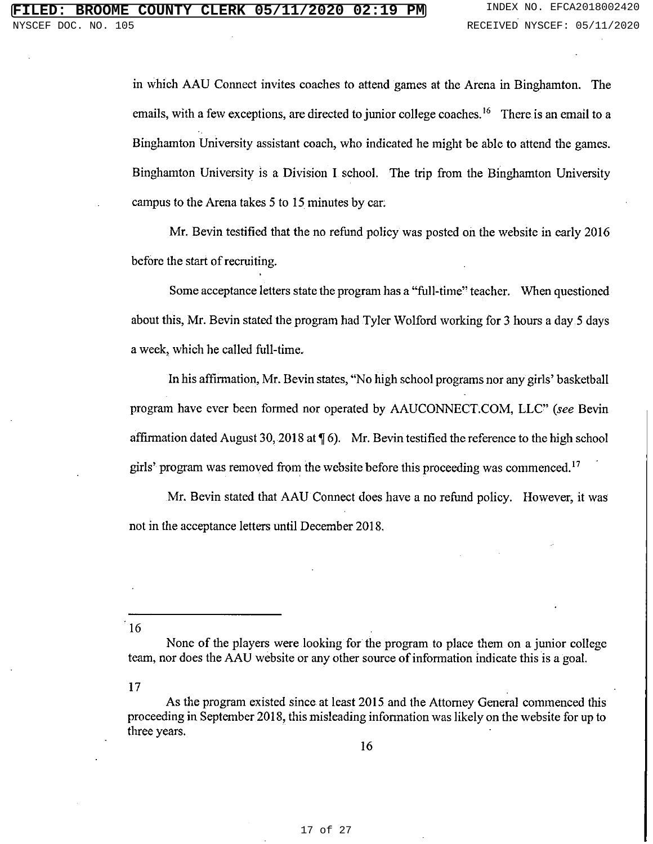in which AAU Connect invites coaches to attend games at the Arena in Binghamton. The emails, with a few exceptions, are directed to junior college coaches.<sup>16</sup> There is an email to a Binghamton University assistant coach, who indicated he might be able to attend the games. Binghamton University is a Division I school. The trip from the Binghamton University campus to the Arena takes 5 to 15 minutes by car.

Mr. Bevin testified that the no refund policy was posted on the website in early 2016 before the start of recruiting.

Some acceptance letters state the program has a "full-time" teacher. When questioned about this, Mr. Bevin stated the program had Tyler Wolford working for 3 hours a day 5 days a week, which he called full-time.

In his affirmation, Mr. Bevin states, "No high school programs nor any girls' basketball program have ever been formed nor operated by AAUCONNECT.COM, LLC" (see Bevin affirmation dated August 30, 2018 at  $\P$  6). Mr. Bevin testified the reference to the high school girls' program was removed from the website before this proceeding was commenced.<sup>17</sup>

Mr. Bevin stated that AAU Connect does have a no refund policy. However, it was not in the acceptance letters until December 2018.

16

None of the players were looking for the program to place them on a junior college team, nor does the AAU website or any other source of information indicate this is a goal.

As the program existed since at least 2015 and the Attorney General commenced this proceeding in September 2018, this misleading information was likely on the website for up to three years.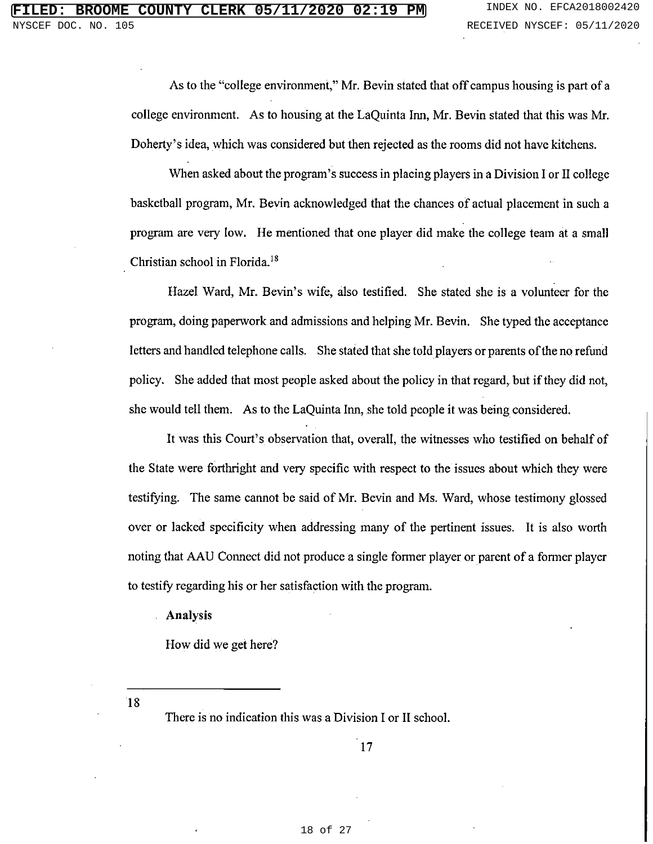As to the "college environment," Mr. Bevin stated that off campus housing is part of a college environment. As to housing at the LaQuinta Inn, Mr. Bevin stated that this was Mr. Doherty's idea, which was considered but then rejected as the rooms did not have kitchens.

When asked about the program's success in placing players in a Division I or II college basketball program, Mr. Bevin acknowledged that the chances of actual placement in such a program are very low. He mentioned that one player did make the college team at a small Christian school in Florida.<sup>18</sup>

Hazel Ward, Mr. Bevin's wife, also testified. She stated she is a volunteer for the program, doing paperwork and admissions and helping Mr. Bevin. She typed the acceptance letters and handled telephone calls. She stated that she told players or parents of the no refund policy. She added that most people asked about the policy in that regard, but if they did not, she would tell them. As to the LaQuinta Inn, she told people it was being considered.

It was this Court's observation that, overall, the witnesses who testified on behalf of the State were forthright and very specific with respect to the issues about which they were testifying. The same cannot be said of Mr. Bevin and Ms. Ward, whose testimony glossed over or lacked specificity when addressing many of the pertinent issues. It is also worth noting that AAU Connect did not produce a single former player or parent of a former player to testify regarding his or her satisfaction with the program.

Analysis

How did we get here?

 $18$ 

There is no indication this was a Division I or II school.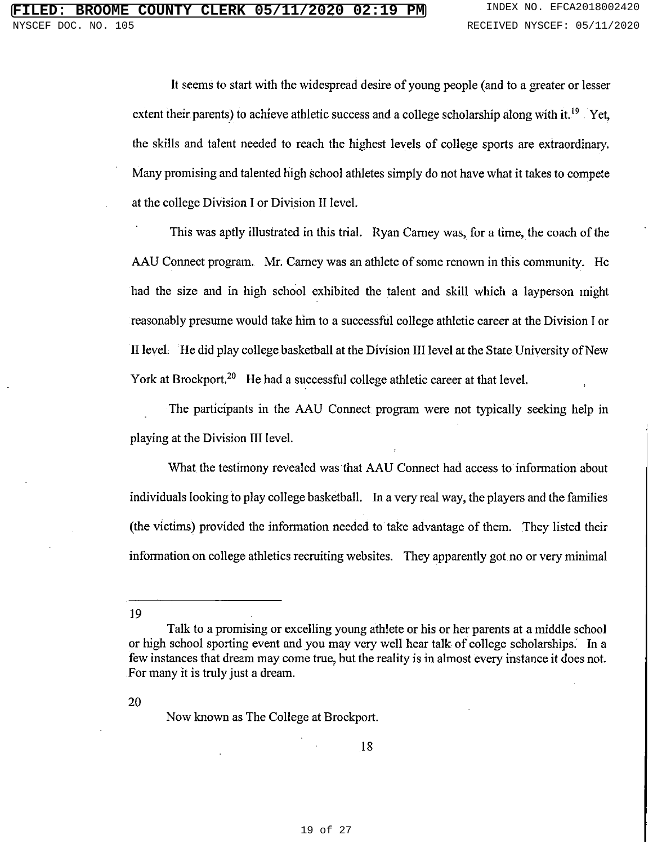It seems to start with the widespread desire of young people (and to a greater or lesser extent their parents) to achieve athletic success and a college scholarship along with it.<sup>19</sup> Yet, the skills and talent needed to reach the highest levels of college sports are extraordinary. Many promising and talented high school athletes simply do not have what it takes to compete at the college Division I or Division II level.

This was aptly illustrated in this trial. Ryan Carney was, for a time, the coach of the AAU Connect program. Mr. Carney was an athlete of some renown in this community. He had the size and in high school exhibited the talent and skill which a layperson might reasonably presume would take him to a successful college athletic career at the Division I or II level. He did play college basketball at the Division III level at the State University of New York at Brockport.<sup>20</sup> He had a successful college athletic career at that level.

The participants in the AAU Connect program were not typically seeking help in playing at the Division III level.

What the testimony revealed was that AAU Connect had access to information about individuals looking to play college basketball. In a very real way, the players and the families (the victims) provided the information needed to take advantage of them. They listed their information on college athletics recruiting websites. They apparently got no or very minimal

19

20

Now known as The College at Brockport.

Talk to a promising or excelling young athlete or his or her parents at a middle school or high school sporting event and you may very well hear talk of college scholarships. In a few instances that dream may come true, but the reality is in almost every instance it does not. For many it is truly just a dream.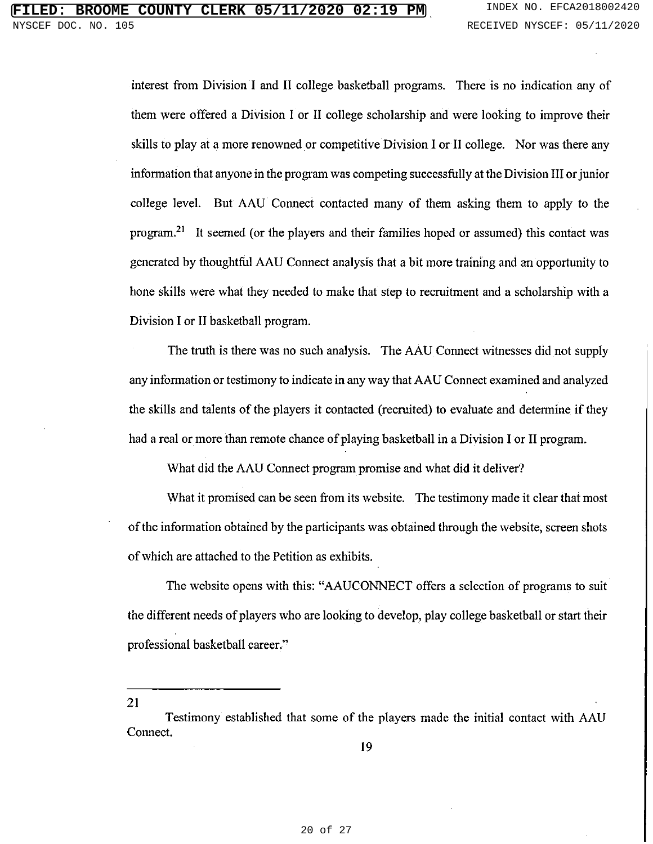interest from Division I and II college basketball programs. There is no indication any of them were offered a Division I or II college scholarship and were looking to improve their skills to play at a more renowned or competitive Division I or II college. Nor was there any information that anyone in the program was competing successfully at the Division III or junior college level. But AAU Connect contacted many of them asking them to apply to the program.<sup>21</sup> It seemed (or the players and their families hoped or assumed) this contact was generated by thoughtful AAU Connect analysis that a bit more training and an opportunity to hone skills were what they needed to make that step to recruitment and a scholarship with a Division I or II basketball program.

The truth is there was no such analysis. The AAU Connect witnesses did not supply any information or testimony to indicate in any way that AAU Connect examined and analyzed the skills and talents of the players it contacted (recruited) to evaluate and determine if they had a real or more than remote chance of playing basketball in a Division I or II program.

What did the AAU Connect program promise and what did it deliver?

What it promised can be seen from its website. The testimony made it clear that most of the information obtained by the participants was obtained through the website, screen shots of which are attached to the Petition as exhibits.

The website opens with this: "AAUCONNECT offers a selection of programs to suit the different needs of players who are looking to develop, play college basketball or start their professional basketball career."

Testimony established that some of the players made the initial contact with AAU Connect.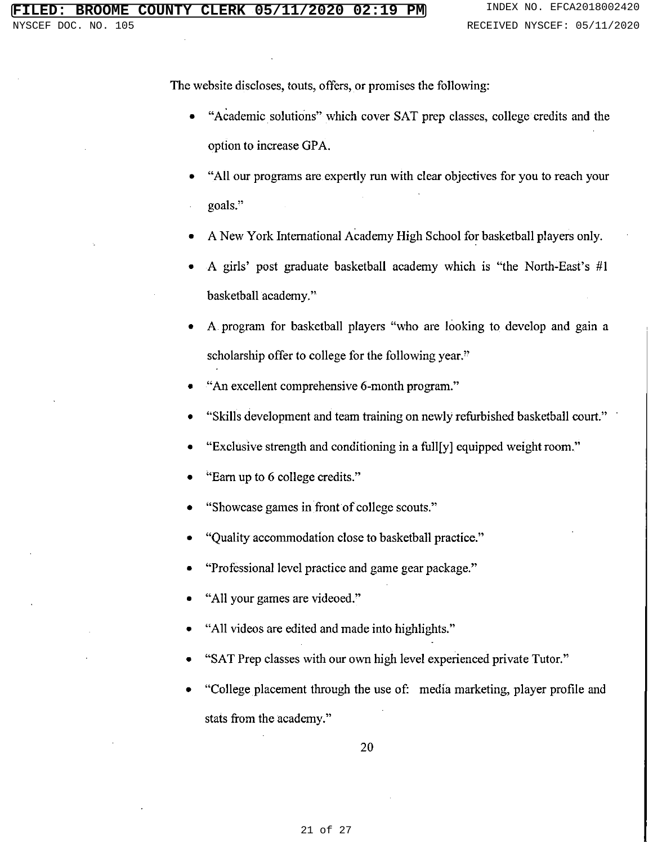NO. DOC. 105

The website discloses, touts, offers, or promises the following:

- "Academic solutions" which cover SAT prep classes, college credits and the option to increase GPA.
- "All our programs are expertly run with clear objectives for you to reach your goals."
- A New York International Academy High School for basketball players only.
- A girls' post graduate basketball academy which is "the North-East's #1 basketball academy."
- A program for basketball players "who are looking to develop and gain a scholarship offer to college for the following year."
- "An excellent comprehensive 6-month program."
- "Skills development and team training on newly refurbished basketball court."
- "Exclusive strength and conditioning in a full [y] equipped weight room."
- "Earn up to 6 college credits."
- "Showcase games in front of college scouts."
- "Quality accommodation close to basketball practice."
- "Professional level practice and game gear package."
- "All your games are videoed."
- "All videos are edited and made into highlights."
- "SAT Prep classes with our own high level experienced private Tutor."
- "College placement through the use of: media marketing, player profile and stats from the academy."

21 of 27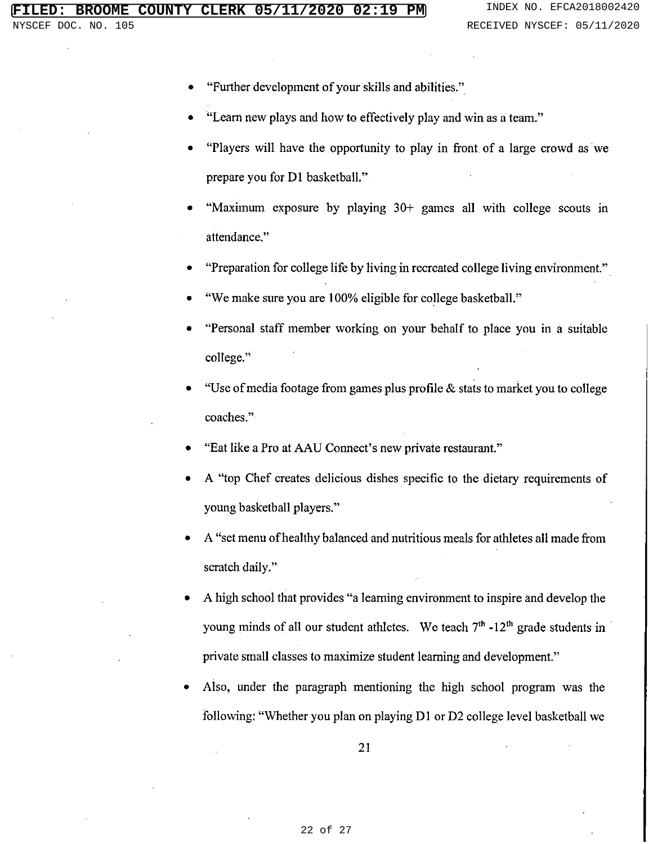DOC. NO. 105

- "Further development of your skills and abilities."
- "Learn new plays and how to effectively play and win as a team."
- "Players will have the opportunity to play in front of a large crowd as we prepare you for D1 basketball."
- "Maximum exposure by playing 30+ games all with college scouts in attendance."
- "Preparation for college life by living in recreated college living environment."
- "We make sure you are 100% eligible for college basketball."
- "Personal staff member working on your behalf to place you in a suitable college."
- "Use of media footage from games plus profile  $\&$  stats to market you to college coaches."
- "Eat like a Pro at AAU Connect's new private restaurant."
- A "top Chef creates delicious dishes specific to the dietary requirements of young basketball players."
- A "set menu of healthy balanced and nutritious meals for athletes all made from scratch daily."
- A high school that provides "a learning environment to inspire and develop the young minds of all our student athletes. We teach  $7<sup>th</sup>$  -12<sup>th</sup> grade students in private small classes to maximize student learning and development."
- Also, under the paragraph mentioning the high school program was the following: "Whether you plan on playing D1 or D2 college level basketball we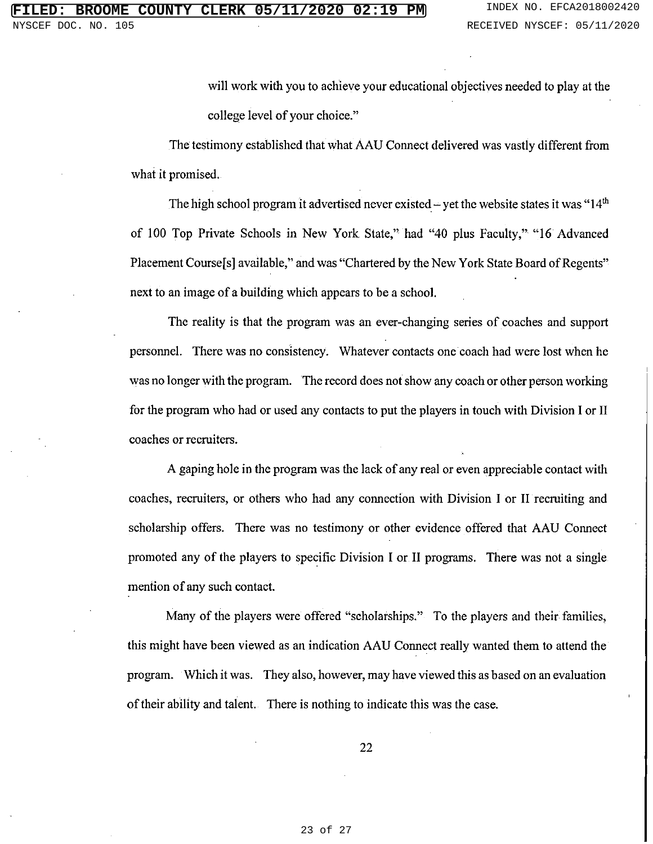will work with you to achieve your educational objectives needed to play at the college level of your choice."

The testimony established that what AAU Connect delivered was vastly different from what it promised.

The high school program it advertised never existed – yet the website states it was " $14<sup>th</sup>$ of 100 Top Private Schools in New York State," had "40 plus Faculty," "16 Advanced Placement Course[s] available," and was "Chartered by the New York State Board of Regents" next to an image of a building which appears to be a school.

The reality is that the program was an ever-changing series of coaches and support personnel. There was no consistency. Whatever contacts one coach had were lost when he was no longer with the program. The record does not show any coach or other person working for the program who had or used any contacts to put the players in touch with Division I or II coaches or recruiters.

A gaping hole in the program was the lack of any real or even appreciable contact with coaches, recruiters, or others who had any connection with Division I or II recruiting and scholarship offers. There was no testimony or other evidence offered that AAU Connect promoted any of the players to specific Division I or II programs. There was not a single mention of any such contact.

Many of the players were offered "scholarships." To the players and their families, this might have been viewed as an indication AAU Connect really wanted them to attend the program. Which it was. They also, however, may have viewed this as based on an evaluation of their ability and talent. There is nothing to indicate this was the case.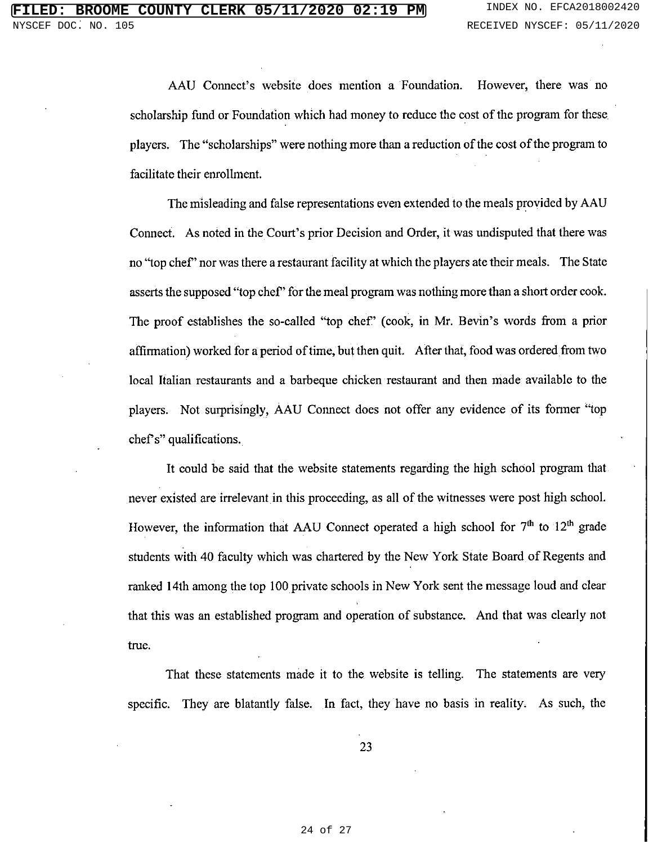AAU Connect's website does mention a Foundation. However, there was no scholarship fund or Foundation which had money to reduce the cost of the program for these players. The "scholarships" were nothing more than a reduction of the cost of the program to facilitate their enrollment.

The misleading and false representations even extended to the meals provided by AAU Connect. As noted in the Court's prior Decision and Order, it was undisputed that there was no "top chef" nor was there a restaurant facility at which the players at their meals. The State asserts the supposed "top chef" for the meal program was nothing more than a short order cook. The proof establishes the so-called "top chef" (cook, in Mr. Bevin's words from a prior affirmation) worked for a period of time, but then quit. After that, food was ordered from two local Italian restaurants and a barbeque chicken restaurant and then made available to the players. Not surprisingly, AAU Connect does not offer any evidence of its former "top chef's" qualifications.

It could be said that the website statements regarding the high school program that never existed are irrelevant in this proceeding, as all of the witnesses were post high school. However, the information that AAU Connect operated a high school for  $7<sup>th</sup>$  to 12<sup>th</sup> grade students with 40 faculty which was chartered by the New York State Board of Regents and ranked 14th among the top 100 private schools in New York sent the message loud and clear that this was an established program and operation of substance. And that was clearly not true.

That these statements made it to the website is telling. The statements are very specific. They are blatantly false. In fact, they have no basis in reality. As such, the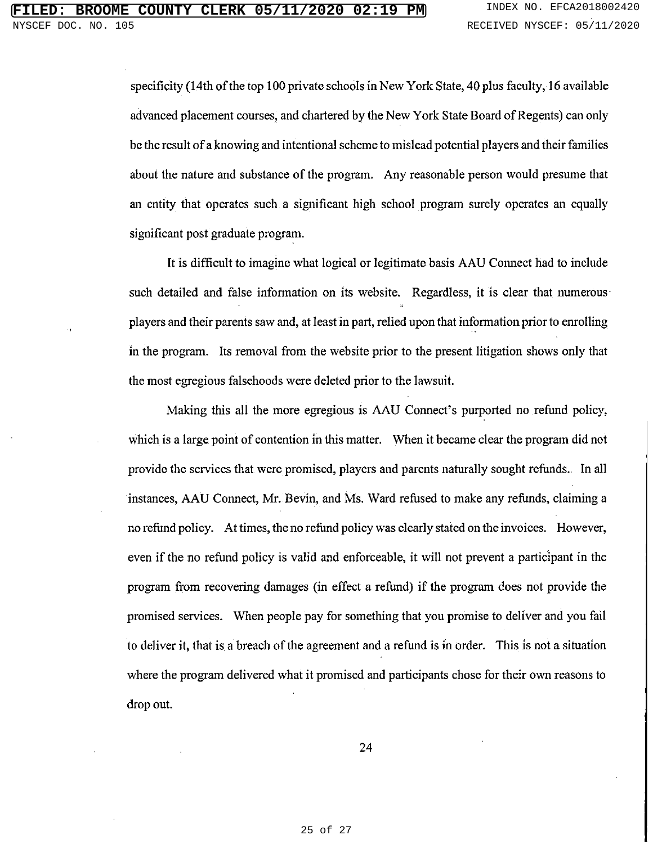specificity (14th of the top 100 private schools in New York State, 40 plus faculty, 16 available advanced placement courses, and chartered by the New York State Board of Regents) can only be the result of a knowing and intentional scheme to mislead potential players and their families about the nature and substance of the program. Any reasonable person would presume that an entity that operates such a significant high school program surely operates an equally significant post graduate program.

It is difficult to imagine what logical or legitimate basis AAU Connect had to include such detailed and false information on its website. Regardless, it is clear that numerous players and their parents saw and, at least in part, relied upon that information prior to enrolling in the program. Its removal from the website prior to the present litigation shows only that the most egregious falsehoods were deleted prior to the lawsuit.

Making this all the more egregious is AAU Connect's purported no refund policy, which is a large point of contention in this matter. When it became clear the program did not provide the services that were promised, players and parents naturally sought refunds. In all instances, AAU Connect, Mr. Bevin, and Ms. Ward refused to make any refunds, claiming a no refund policy. At times, the no refund policy was clearly stated on the invoices. However, even if the no refund policy is valid and enforceable, it will not prevent a participant in the program from recovering damages (in effect a refund) if the program does not provide the promised services. When people pay for something that you promise to deliver and you fail to deliver it, that is a breach of the agreement and a refund is in order. This is not a situation where the program delivered what it promised and participants chose for their own reasons to drop out.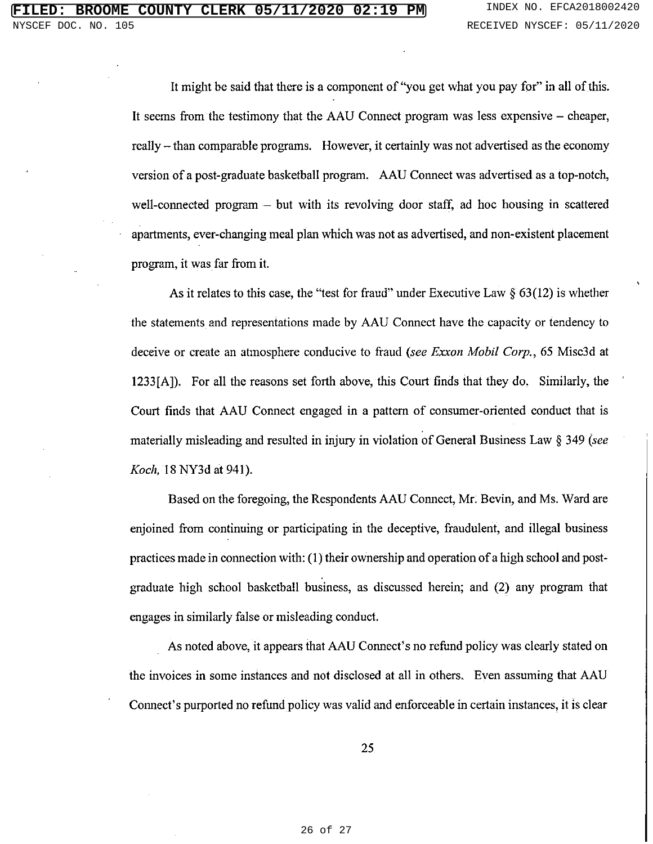It might be said that there is a component of "you get what you pay for" in all of this. It seems from the testimony that the AAU Connect program was less expensive – cheaper, really – than comparable programs. However, it certainly was not advertised as the economy version of a post-graduate basketball program. AAU Connect was advertised as a top-notch, well-connected program – but with its revolving door staff, ad hoc housing in scattered apartments, ever-changing meal plan which was not as advertised, and non-existent placement program, it was far from it.

As it relates to this case, the "test for fraud" under Executive Law  $\S$  63(12) is whether the statements and representations made by AAU Connect have the capacity or tendency to deceive or create an atmosphere conducive to fraud (see Exxon Mobil Corp., 65 Misc3d at 1233[A]). For all the reasons set forth above, this Court finds that they do. Similarly, the Court finds that AAU Connect engaged in a pattern of consumer-oriented conduct that is materially misleading and resulted in injury in violation of General Business Law § 349 (see *Koch*, 18 NY3d at 941).

Based on the foregoing, the Respondents AAU Connect, Mr. Bevin, and Ms. Ward are enjoined from continuing or participating in the deceptive, fraudulent, and illegal business practices made in connection with: (1) their ownership and operation of a high school and postgraduate high school basketball business, as discussed herein; and (2) any program that engages in similarly false or misleading conduct.

As noted above, it appears that AAU Connect's no refund policy was clearly stated on the invoices in some instances and not disclosed at all in others. Even assuming that AAU Connect's purported no refund policy was valid and enforceable in certain instances, it is clear